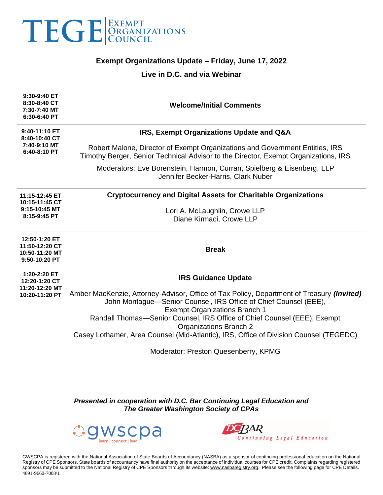

## **Exempt Organizations Update – Friday, June 17, 2022**

## **Live in D.C. and via Webinar**

| 9:30-9:40 ET<br>8:30-8:40 CT<br>7:30-7:40 MT<br>6:30-6:40 PT       | <b>Welcome/Initial Comments</b>                                                                                                                                                                                                                                                                                                                                                                                    |
|--------------------------------------------------------------------|--------------------------------------------------------------------------------------------------------------------------------------------------------------------------------------------------------------------------------------------------------------------------------------------------------------------------------------------------------------------------------------------------------------------|
| 9:40-11:10 ET<br>8:40-10:40 CT                                     | IRS, Exempt Organizations Update and Q&A                                                                                                                                                                                                                                                                                                                                                                           |
| 7:40-9:10 MT<br>6:40-8:10 PT                                       | Robert Malone, Director of Exempt Organizations and Government Entities, IRS<br>Timothy Berger, Senior Technical Advisor to the Director, Exempt Organizations, IRS                                                                                                                                                                                                                                                |
|                                                                    | Moderators: Eve Borenstein, Harmon, Curran, Spielberg & Eisenberg, LLP<br>Jennifer Becker-Harris, Clark Nuber                                                                                                                                                                                                                                                                                                      |
| 11:15-12:45 ET<br>10:15-11:45 CT                                   | <b>Cryptocurrency and Digital Assets for Charitable Organizations</b>                                                                                                                                                                                                                                                                                                                                              |
| 9:15-10:45 MT<br>8:15-9:45 PT                                      | Lori A. McLaughlin, Crowe LLP<br>Diane Kirmaci, Crowe LLP                                                                                                                                                                                                                                                                                                                                                          |
|                                                                    |                                                                                                                                                                                                                                                                                                                                                                                                                    |
| 12:50-1:20 ET<br>11:50-12:20 CT<br>10:50-11:20 MT<br>9:50-10:20 PT | <b>Break</b>                                                                                                                                                                                                                                                                                                                                                                                                       |
| 1:20-2:20 ET<br>12:20-1:20 CT<br>11:20-12:20 MT<br>10:20-11:20 PT  | <b>IRS Guidance Update</b>                                                                                                                                                                                                                                                                                                                                                                                         |
|                                                                    | Amber MacKenzie, Attorney-Advisor, Office of Tax Policy, Department of Treasury <i>(Invited)</i><br>John Montague-Senior Counsel, IRS Office of Chief Counsel (EEE),<br><b>Exempt Organizations Branch 1</b><br>Randall Thomas-Senior Counsel, IRS Office of Chief Counsel (EEE), Exempt<br><b>Organizations Branch 2</b><br>Casey Lothamer, Area Counsel (Mid-Atlantic), IRS, Office of Division Counsel (TEGEDC) |
|                                                                    | Moderator: Preston Quesenberry, KPMG                                                                                                                                                                                                                                                                                                                                                                               |

*Presented in cooperation with D.C. Bar Continuing Legal Education and The Greater Washington Society of CPAs*





GWSCPA is registered with the National Association of State Boards of Accountancy (NASBA) as a sponsor of continuing professional education on the National Registry of CPE Sponsors. State boards of accountancy have final authority on the acceptance of individual courses for CPE credit. Complaints regarding registered sponsors may be submitted to the National Registry of CPE Sponsors through its website[: www.nasbaregistry.org.](http://www.nasbaregistry.org/) Please see the following page for CPE Details. 4891-9660-7008\1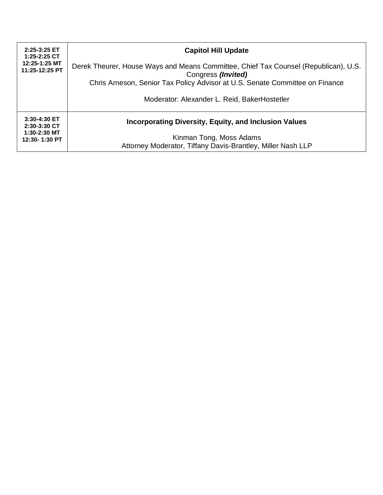| 2:25-3:25 ET<br>1:25-2:25 CT<br>12:25-1:25 MT<br>11:25-12:25 PT | <b>Capitol Hill Update</b>                                                                                                                                                                |
|-----------------------------------------------------------------|-------------------------------------------------------------------------------------------------------------------------------------------------------------------------------------------|
|                                                                 | Derek Theurer, House Ways and Means Committee, Chief Tax Counsel (Republican), U.S.<br>Congress (Invited)<br>Chris Arneson, Senior Tax Policy Advisor at U.S. Senate Committee on Finance |
|                                                                 |                                                                                                                                                                                           |
|                                                                 | Moderator: Alexander L. Reid, BakerHostetler                                                                                                                                              |
| 3:30-4:30 ET<br>2:30-3:30 CT<br>$1:30-2:30$ MT<br>12:30-1:30 PT | <b>Incorporating Diversity, Equity, and Inclusion Values</b>                                                                                                                              |
|                                                                 | Kinman Tong, Moss Adams                                                                                                                                                                   |
|                                                                 | Attorney Moderator, Tiffany Davis-Brantley, Miller Nash LLP                                                                                                                               |